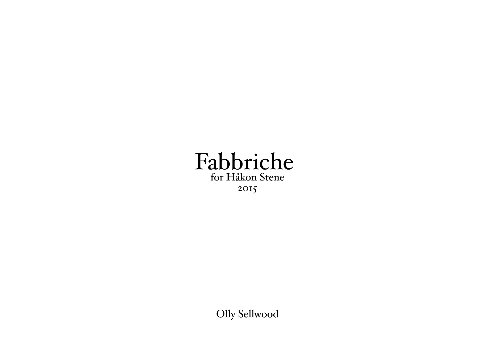

Olly Sellwood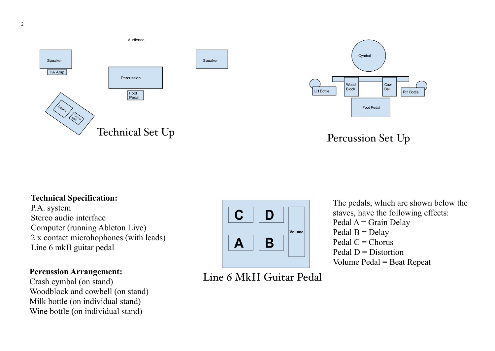



Percussion Set Up

## **Technical Specification:**

P.A. system Stereo audio interface Computer (running Ableton Live) 2 x contact microhophones (with leads) 2 A contact interestion-<br>Line 6 mkII guitar pedal

## **Percussion Arrangement:**

Crash cymbal (on stand) Woodblock and cowbell (on stand) woodbook and cowben (on stand)<br>Milk bottle (on individual stand) Wine bottle (on individual stand)



Line 6 MkII Guitar Pedal

The pedals, which are shown below the staves, have the following effects:  $Pedal A = \text{Grain Delay}$ Pedal B = Delay Pedal  $C =$ Chorus Pedal  $D =$  Distortion Volume Pedal = Beat Repeat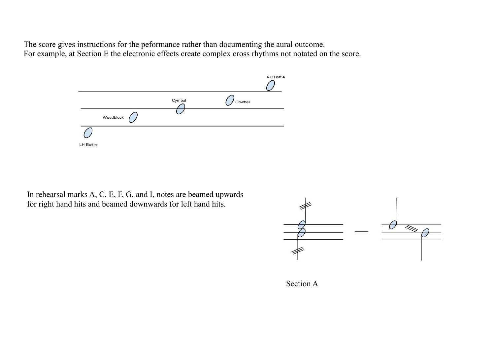The score gives instructions for the peformance rather than documenting the aural outcome.<br>For example, at Section E the electronic effects greate complex greas rhythms not notated on the For example, at Section E the electronic effects create complex cross rhythms not notated on the score.



In rehearsal marks A, C, E, F, G, and I, notes are beamed upwards for right hand hits and beamed downwards for left hand hits.



Section A A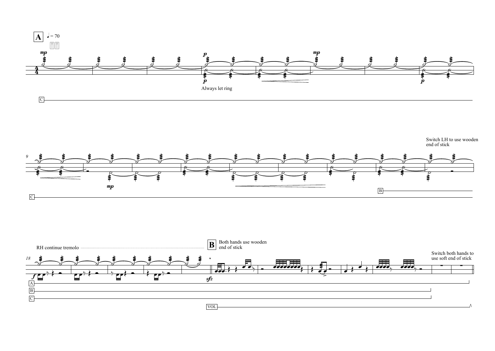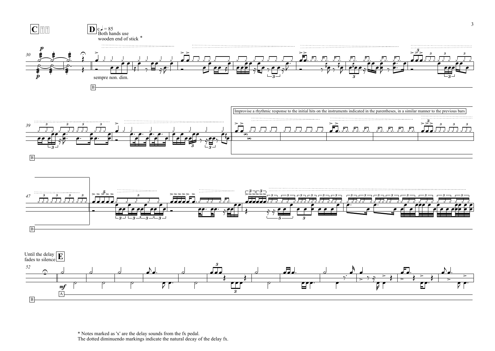

\* Notes marked as 'x' are the delay sounds from the fx pedal. The dotted diminuendo markings indicate the natural decay of the delay fx.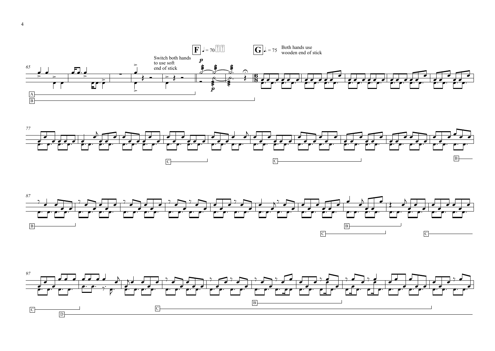